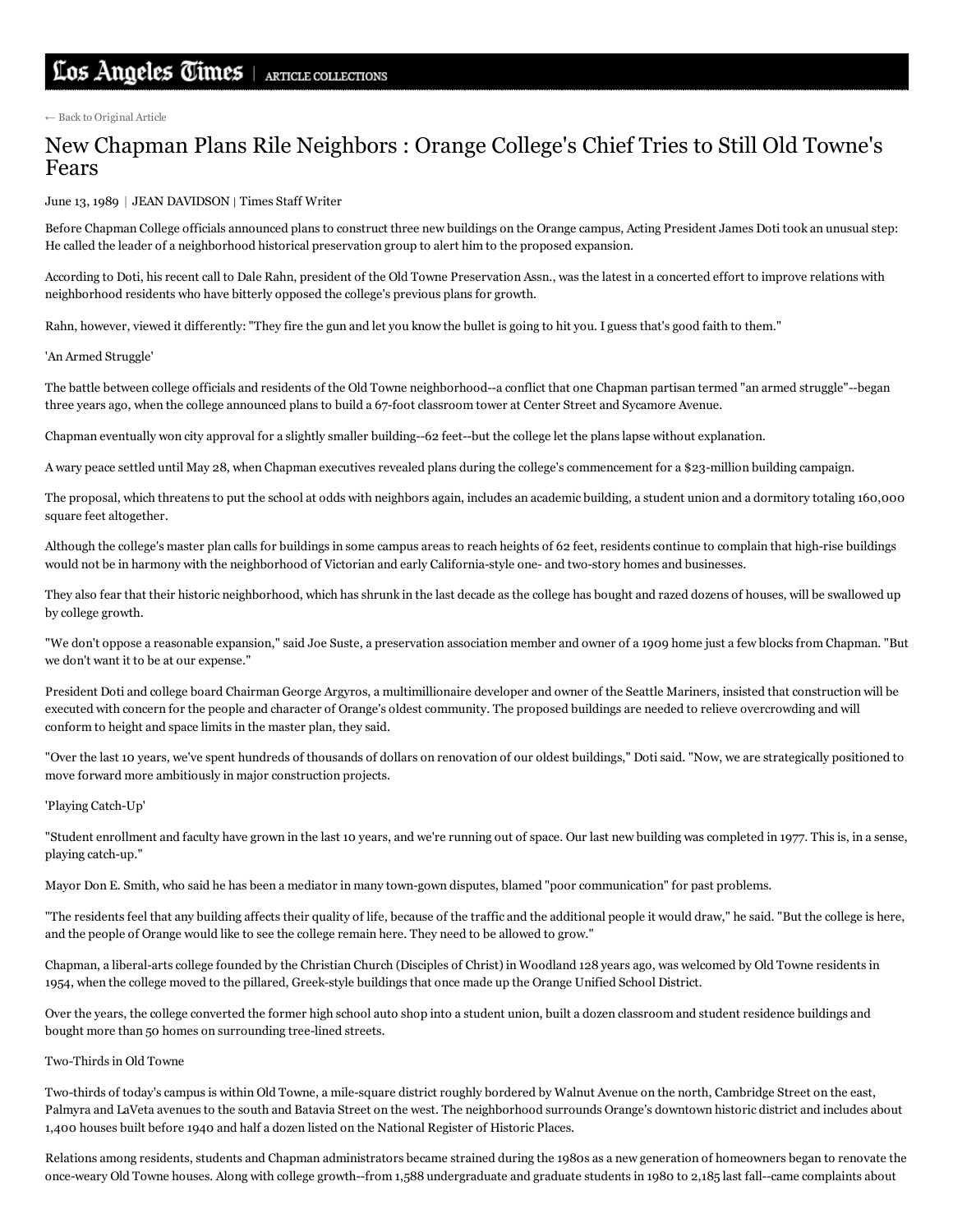← Back to [Original](http://articles.latimes.com/1989-06-13/local/me-2263_1_joe-suste-chapman-college-officials-college-growth) Article

## New Chapman Plans Rile Neighbors : Orange College's Chief Tries to Still Old Towne's Fears

June 13, 1989 | JEAN DAVIDSON | Times Staff Writer

Before Chapman College officials announced plans to construct three new buildings on the Orange campus, Acting President James Doti took an unusual step: He called the leader of a neighborhood historical preservation group to alert him to the proposed expansion.

According to Doti, his recent call to Dale Rahn, president of the Old Towne Preservation Assn., was the latest in a concerted effort to improve relations with neighborhood residents who have bitterly opposed the college's previous plans for growth.

Rahn, however, viewed it differently: "They fire the gun and let you know the bullet is going to hit you. I guess that's good faith to them."

'An Armed Struggle'

The battle between college officials and residents of the Old Towne neighborhood—a conflict that one Chapman partisan termed "an armed struggle"--began three years ago, when the college announced plans to build a 67-foot classroom tower at Center Street and Sycamore Avenue.

Chapman eventually won city approval for a slightly smaller building--62 feet--but the college let the plans lapse without explanation.

A wary peace settled until May 28, when Chapman executives revealed plans during the college's commencement for a \$23-million building campaign.

The proposal, which threatens to put the school at odds with neighbors again, includes an academic building, a student union and a dormitory totaling 160,000 square feet altogether.

Although the college's master plan calls for buildings in some campus areas to reach heights of 62 feet, residents continue to complain that high-rise buildings would not be in harmony with the neighborhood of Victorian and early California-style one- and two-story homes and businesses.

They also fear that their historic neighborhood, which has shrunk in the last decade as the college has bought and razed dozens of houses, will be swallowed up by college growth.

"We don't oppose a reasonable expansion," said Joe Suste, a preservation association member and owner of a 1909 home just a few blocks from Chapman. "But we don't want it to be at our expense."

President Doti and college board Chairman George Argyros, a multimillionaire developer and owner of the Seattle Mariners, insisted that construction will be executed with concern for the people and character of Orange's oldest community. The proposed buildings are needed to relieve overcrowding and will conform to height and space limits in the master plan, they said.

"Over the last 10 years, we've spent hundreds of thousands of dollars on renovation of our oldest buildings," Doti said. "Now, we are strategically positioned to move forward more ambitiously in major construction projects.

## 'Playing Catch-Up'

"Student enrollment and faculty have grown in the last 10 years, and we're running out of space. Our last new building was completed in 1977. This is, in a sense, playing catch-up."

Mayor Don E. Smith, who said he has been a mediator in many town-gown disputes, blamed "poor communication" for past problems.

"The residents feel that any building affects their quality of life, because of the traffic and the additional people it would draw," he said. "But the college is here, and the people of Orange would like to see the college remain here. They need to be allowed to grow."

Chapman, a liberal-arts college founded by the Christian Church (Disciples of Christ) in Woodland 128 years ago, was welcomed by Old Towne residents in 1954, when the college moved to the pillared, Greekstyle buildings that once made up the Orange Unified School District.

Over the years, the college converted the former high school auto shop into a student union, built a dozen classroom and student residence buildings and bought more than 50 homes on surrounding tree-lined streets.

## Two-Thirds in Old Towne

Two-thirds of today's campus is within Old Towne, a mile-square district roughly bordered by Walnut Avenue on the north, Cambridge Street on the east, Palmyra and LaVeta avenues to the south and Batavia Street on the west. The neighborhood surrounds Orange's downtown historic district and includes about 1,400 houses built before 1940 and half a dozen listed on the National Register of Historic Places.

Relations among residents, students and Chapman administrators became strained during the 1980s as a new generation of homeowners began to renovate the once-weary Old Towne houses. Along with college growth--from 1,588 undergraduate and graduate students in 1980 to 2,185 last fall--came complaints about